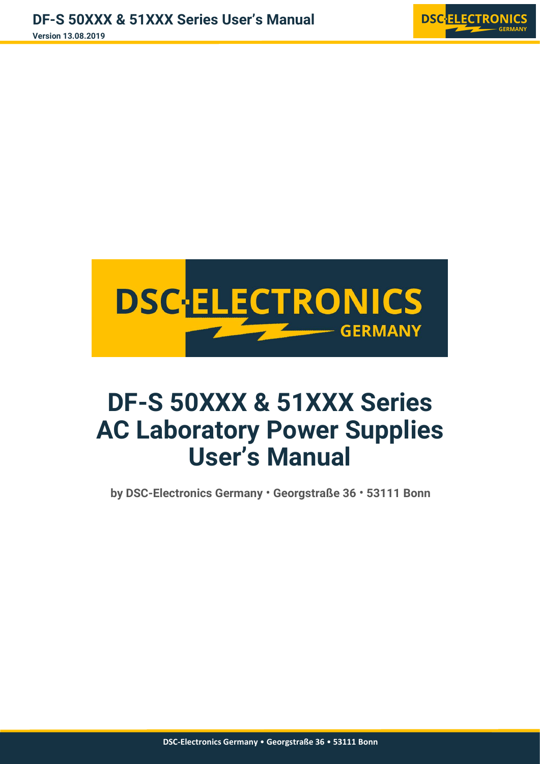



# **DF-S 50XXX & 51XXX Series AC Laboratory Power Supplies User's Manual**

**by DSC-Electronics Germany** • **Georgstraße 36** • **53111 Bonn**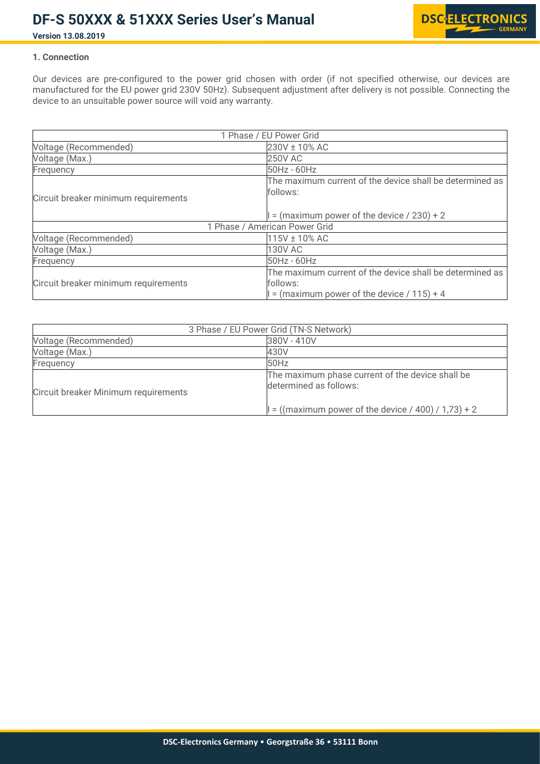

### **Version 13.08.2019**

### **1. Connection**

Our devices are pre-configured to the power grid chosen with order (if not specified otherwise, our devices are manufactured for the EU power grid 230V 50Hz). Subsequent adjustment after delivery is not possible. Connecting the device to an unsuitable power source will void any warranty.

|                                      | 1 Phase / EU Power Grid                                  |
|--------------------------------------|----------------------------------------------------------|
| Voltage (Recommended)                | 230V ± 10% AC                                            |
| Voltage (Max.)                       | 250V AC                                                  |
| Frequency                            | 50Hz - 60Hz                                              |
|                                      | The maximum current of the device shall be determined as |
| Circuit breaker minimum requirements | follows:                                                 |
|                                      |                                                          |
|                                      | $=$ (maximum power of the device / 230) + 2              |
|                                      | 1 Phase / American Power Grid                            |
| Voltage (Recommended)                | 115V ± 10% AC                                            |
| Voltage (Max.)                       | 130V AC                                                  |
| Frequency                            | 50Hz - 60Hz                                              |
|                                      | The maximum current of the device shall be determined as |
| Circuit breaker minimum requirements | follows:                                                 |
|                                      | = (maximum power of the device $/ 115$ ) + 4             |

|                                      | 3 Phase / EU Power Grid (TN-S Network)                                     |
|--------------------------------------|----------------------------------------------------------------------------|
| Voltage (Recommended)                | 380V - 410V                                                                |
| Voltage (Max.)                       | 430V                                                                       |
| Frequency                            | 50Hz                                                                       |
| Circuit breaker Minimum requirements | The maximum phase current of the device shall be<br>determined as follows: |
|                                      | $= ((maximum power of the device / 400) / 1.73) + 2$                       |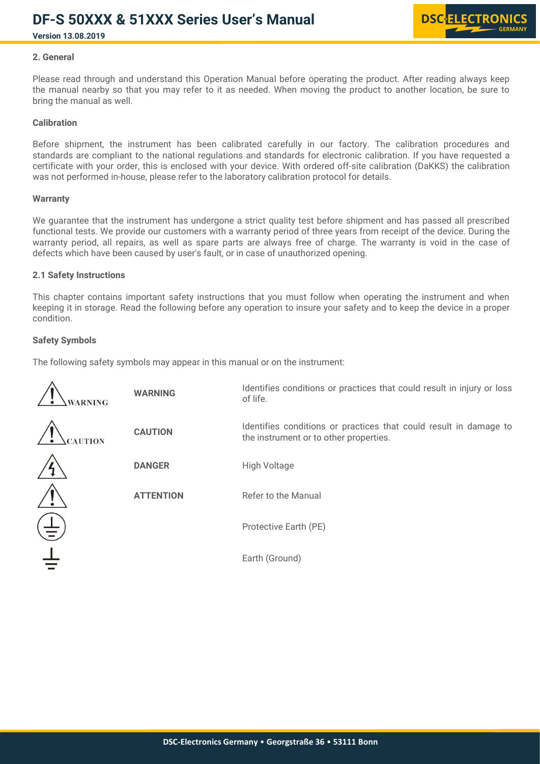**Version 13.08.2019**



### **2. General**

Please read through and understand this Operation Manual before operating the product. After reading always keep the manual nearby so that you may refer to it as needed. When moving the product to another location, be sure to bring the manual as well.

#### **Calibration**

Before shipment, the instrument has been calibrated carefully in our factory. The calibration procedures and standards are compliant to the national regulations and standards for electronic calibration. If you have requested a certificate with your order, this is enclosed with your device. With ordered off-site calibration (DaKKS) the calibration was not performed in-house, please refer to the laboratory calibration protocol for details.

#### **Warranty**

We guarantee that the instrument has undergone a strict quality test before shipment and has passed all prescribed functional tests. We provide our customers with a warranty period of three years from receipt of the device. During the warranty period, all repairs, as well as spare parts are always free of charge. The warranty is void in the case of defects which have been caused by user's fault, or in case of unauthorized opening.

#### **2.1 Safety Instructions**

This chapter contains important safety instructions that you must follow when operating the instrument and when keeping it in storage. Read the following before any operation to insure your safety and to keep the device in a proper condition.

#### **Safety Symbols**

The following safety symbols may appear in this manual or on the instrument:

| WARNING       | <b>WARNING</b>   | Identifies conditions or practices that could result in injury or loss<br>of life.                          |
|---------------|------------------|-------------------------------------------------------------------------------------------------------------|
| <b>AUTION</b> | <b>CAUTION</b>   | Identifies conditions or practices that could result in damage to<br>the instrument or to other properties. |
|               | <b>DANGER</b>    | <b>High Voltage</b>                                                                                         |
|               | <b>ATTENTION</b> | Refer to the Manual                                                                                         |
| 責             |                  | Protective Earth (PE)                                                                                       |
|               |                  | Earth (Ground)                                                                                              |
|               |                  |                                                                                                             |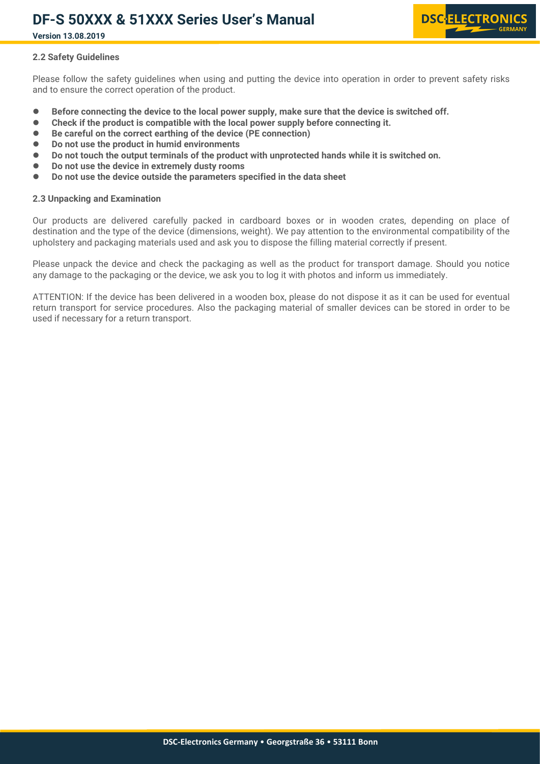

**Version 13.08.2019**

#### **2.2 Safety Guidelines**

Please follow the safety guidelines when using and putting the device into operation in order to prevent safety risks and to ensure the correct operation of the product.

- **Before connecting the device to the local power supply, make sure that the device is switched off.**
- **Check if the product is compatible with the local power supply before connecting it.**
- **Be careful on the correct earthing of the device (PE connection)**
- **Do not use the product in humid environments**
- **Do not touch the output terminals of the product with unprotected hands while it is switched on.**
- **Do not use the device in extremely dusty rooms**
- **Do not use the device outside the parameters specified in the data sheet**

#### **2.3 Unpacking and Examination**

Our products are delivered carefully packed in cardboard boxes or in wooden crates, depending on place of destination and the type of the device (dimensions, weight). We pay attention to the environmental compatibility of the upholstery and packaging materials used and ask you to dispose the filling material correctly if present.

Please unpack the device and check the packaging as well as the product for transport damage. Should you notice any damage to the packaging or the device, we ask you to log it with photos and inform us immediately.

ATTENTION: If the device has been delivered in a wooden box, please do not dispose it as it can be used for eventual return transport for service procedures. Also the packaging material of smaller devices can be stored in order to be used if necessary for a return transport.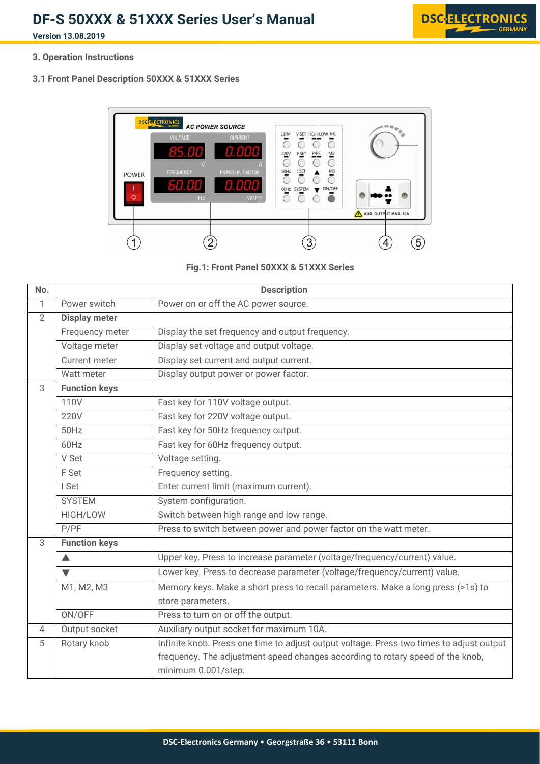**Version 13.08.2019**



**3. Operation Instructions**

**3.1 Front Panel Description 50XXX & 51XXX Series**





| No.            |                      | <b>Description</b>                                                                                    |  |  |
|----------------|----------------------|-------------------------------------------------------------------------------------------------------|--|--|
| 1              | Power switch         | Power on or off the AC power source.                                                                  |  |  |
| $\overline{2}$ | <b>Display meter</b> |                                                                                                       |  |  |
|                | Frequency meter      | Display the set frequency and output frequency.                                                       |  |  |
|                | Voltage meter        | Display set voltage and output voltage.                                                               |  |  |
|                | <b>Current meter</b> | Display set current and output current.                                                               |  |  |
|                | Watt meter           | Display output power or power factor.                                                                 |  |  |
| 3              | <b>Function keys</b> |                                                                                                       |  |  |
|                | 110V                 | Fast key for 110V voltage output.                                                                     |  |  |
|                | 220V                 | Fast key for 220V voltage output.                                                                     |  |  |
|                | 50Hz                 | Fast key for 50Hz frequency output.                                                                   |  |  |
|                | 60Hz                 | Fast key for 60Hz frequency output.                                                                   |  |  |
|                | V Set                | Voltage setting.                                                                                      |  |  |
|                | F Set                | Frequency setting.                                                                                    |  |  |
|                | I Set                | Enter current limit (maximum current).                                                                |  |  |
|                | <b>SYSTEM</b>        | System configuration.                                                                                 |  |  |
|                | HIGH/LOW             | Switch between high range and low range.                                                              |  |  |
|                | P/PF                 | Press to switch between power and power factor on the watt meter.                                     |  |  |
| 3              | <b>Function keys</b> |                                                                                                       |  |  |
|                | $\blacktriangle$     | Upper key. Press to increase parameter (voltage/frequency/current) value.                             |  |  |
|                | $\blacktriangledown$ | Lower key. Press to decrease parameter (voltage/frequency/current) value.                             |  |  |
|                | M1, M2, M3           | Memory keys. Make a short press to recall parameters. Make a long press (>1s) to                      |  |  |
|                |                      | store parameters.                                                                                     |  |  |
|                | ON/OFF               | Press to turn on or off the output.                                                                   |  |  |
| $\overline{4}$ | Output socket        | Auxiliary output socket for maximum 10A.                                                              |  |  |
| 5              | Rotary knob          | Infinite knob. Press one time to adjust output voltage. Press two times to adjust output              |  |  |
|                |                      | frequency. The adjustment speed changes according to rotary speed of the knob,<br>minimum 0.001/step. |  |  |
|                |                      |                                                                                                       |  |  |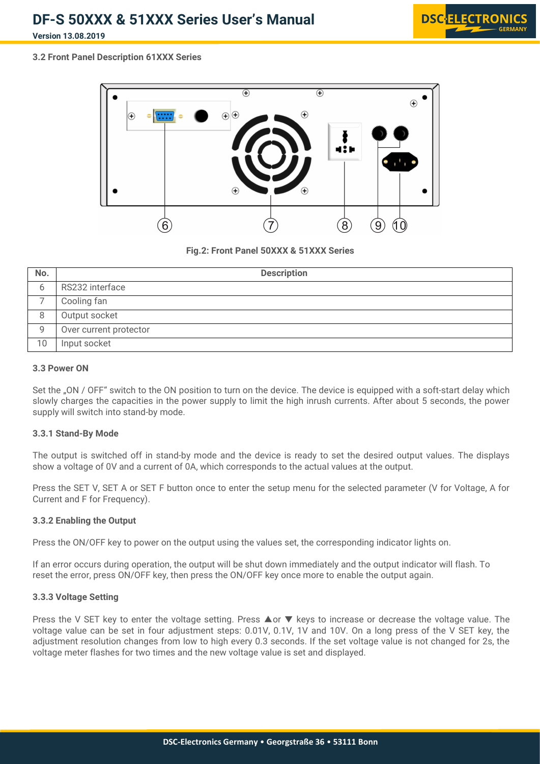**Version 13.08.2019**



### **3.2 Front Panel Description 61XXX Series**



**Fig.2: Front Panel 50XXX & 51XXX Series**

| No. | <b>Description</b>     |
|-----|------------------------|
| რ   | RS232 interface        |
|     | Cooling fan            |
| 8   | Output socket          |
| Q   | Over current protector |
| 10  | Input socket           |

#### **3.3 Power ON**

Set the "ON / OFF" switch to the ON position to turn on the device. The device is equipped with a soft-start delay which slowly charges the capacities in the power supply to limit the high inrush currents. After about 5 seconds, the power supply will switch into stand-by mode.

#### **3.3.1 Stand-By Mode**

The output is switched off in stand-by mode and the device is ready to set the desired output values. The displays show a voltage of 0V and a current of 0A, which corresponds to the actual values at the output.

Press the SET V, SET A or SET F button once to enter the setup menu for the selected parameter (V for Voltage, A for Current and F for Frequency).

#### **3.3.2 Enabling the Output**

Press the ON/OFF key to power on the output using the values set, the corresponding indicator lights on.

If an error occurs during operation, the output will be shut down immediately and the output indicator will flash. To reset the error, press ON/OFF key, then press the ON/OFF key once more to enable the output again.

#### **3.3.3 Voltage Setting**

Press the V SET key to enter the voltage setting. Press **Aor ▼** keys to increase or decrease the voltage value. The voltage value can be set in four adjustment steps: 0.01V, 0.1V, 1V and 10V. On a long press of the V SET key, the adjustment resolution changes from low to high every 0.3 seconds. If the set voltage value is not changed for 2s, the voltage meter flashes for two times and the new voltage value is set and displayed.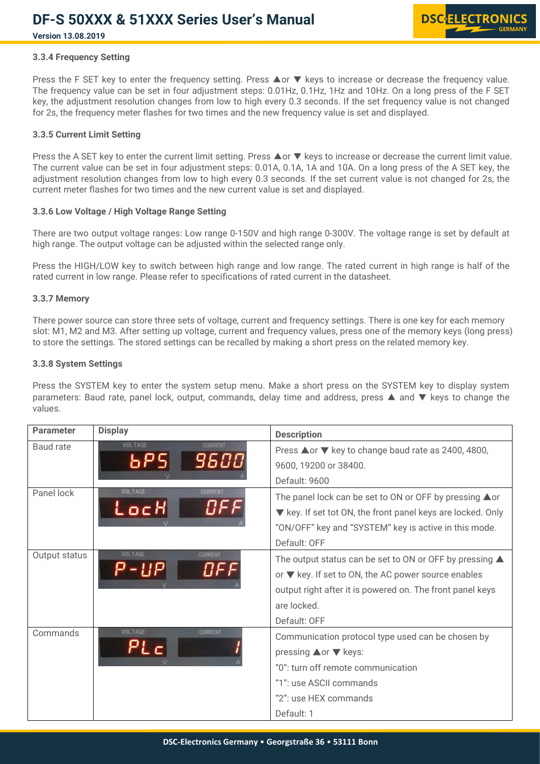# **Version 13.08.2019**

#### **3.3.4 Frequency Setting**

Press the F SET key to enter the frequency setting. Press **A** or ▼ keys to increase or decrease the frequency value. The frequency value can be set in four adjustment steps: 0.01Hz, 0.1Hz, 1Hz and 10Hz. On a long press of the F SET key, the adjustment resolution changes from low to high every 0.3 seconds. If the set frequency value is not changed for 2s, the frequency meter flashes for two times and the new frequency value is set and displayed.

#### **3.3.5 Current Limit Setting**

Press the A SET key to enter the current limit setting. Press **A** or ▼ keys to increase or decrease the current limit value. The current value can be set in four adjustment steps: 0.01A, 0.1A, 1A and 10A. On a long press ofthe A SET key, the adjustment resolution changes from low to high every 0.3 seconds. If the set current value is not changed for 2s, the current meter flashes for two times and the new current value is set and displayed.

#### **3.3.6 Low Voltage/ High Voltage Range Setting**

There are two output voltage ranges: Low range 0-150V and high range 0-300V. The voltage range is set by default at high range. The output voltage can be adjusted within the selected range only.

Press the HIGH/LOW key to switch between high range and low range. The rated current in high range is half of the rated current in low range. Please refer to specifications of rated current in the datasheet.

#### **3.3.7 Memory**

There power source can store three sets of voltage, current and frequency settings. There is one key for each memory slot: M1, M2 and M3. After setting up voltage, current and frequency values, press one of the memory keys (long press) to store the settings. The stored settings can be recalled by making a short press on the related memory key.

#### **3.3.8 System Settings**

Press the SYSTEM key to enter the system setup menu. Make a short press on the SYSTEM key to display system parameters: Baud rate, panel lock, output, commands, delay time and address, press ▲ and ▼ keys to change the values.

| <b>Parameter</b> | <b>Display</b>                           | <b>Description</b>                                                                                                                                                                                                        |
|------------------|------------------------------------------|---------------------------------------------------------------------------------------------------------------------------------------------------------------------------------------------------------------------------|
| Baud rate        | <b>VOLTAGE</b><br><b>CURRENT</b><br>Ъŀ   | Press <b>△or ▼</b> key to change baud rate as 2400, 4800,<br>9600, 19200 or 38400.<br>Default: 9600                                                                                                                       |
| Panel lock       | VOLTAGE<br><b>CURRENT</b><br>OFF<br>LocH | The panel lock can be set to ON or OFF by pressing ▲ or<br>▼ key. If set tot ON, the front panel keys are locked. Only<br>"ON/OFF" key and "SYSTEM" key is active in this mode.<br>Default: OFF                           |
| Output status    | VOLTAGE<br><b>CURRENT</b><br><b>NFF</b>  | The output status can be set to ON or OFF by pressing $\blacktriangle$<br>or ▼ key. If set to ON, the AC power source enables<br>output right after it is powered on. The front panel keys<br>are locked.<br>Default: OFF |
| Commands         | VOLTAGE<br><b>CURRENT</b>                | Communication protocol type used can be chosen by<br>pressing <b>▲or ▼</b> keys:<br>"0": turn off remote communication<br>"1": use ASCII commands<br>"2": use HEX commands<br>Default: 1                                  |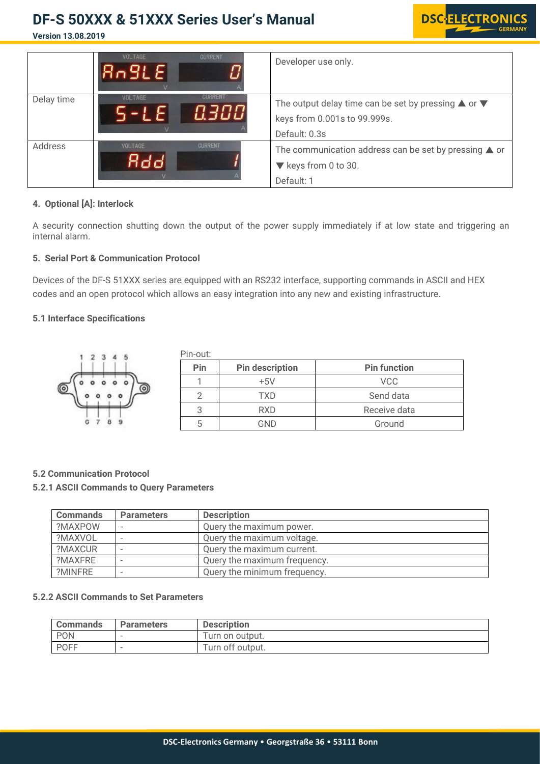**Version 13.08.2019**



**DS** 

RONIC

#### **4. Optional [A]: Interlock**

A security connection shutting down the output of the power supply immediately if at low state and triggering an internal alarm.

#### **5. Serial Port & Communication Protocol**

Devices of the DF-S 51XXX series are equipped with an RS232 interface, supporting commands in ASCII and HEX codes and an open protocol which allows an easy integration into anynew and existing infrastructure.

### **5.1 Interface Specifications**

|          | Pin-out: |                        |                     |
|----------|----------|------------------------|---------------------|
|          | Pin      | <b>Pin description</b> | <b>Pin function</b> |
| ◎<br>(၀) |          | $+5V$                  | <b>VCC</b>          |
|          |          | TXD                    | Send data           |
|          |          | <b>RXD</b>             | Receive data        |
|          |          | GND                    | Ground              |

#### **5.2 Communication Protocol**

#### **5.2.1 ASCII Commands to Query Parameters**

| <b>Commands</b> | <b>Parameters</b> | <b>Description</b>           |  |
|-----------------|-------------------|------------------------------|--|
| ?MAXPOW         |                   | Query the maximum power.     |  |
| ?MAXVOL         |                   | Query the maximum voltage.   |  |
| ?MAXCUR         |                   | Query the maximum current.   |  |
| ?MAXFRF         |                   | Query the maximum frequency. |  |
| ?MINFRE         |                   | Query the minimum frequency. |  |

#### **5.2.2 ASCII Commands to Set Parameters**

| <b>Commands</b> | <b>Parameters</b>        | <b>Description</b> |
|-----------------|--------------------------|--------------------|
| PON             | $\overline{\phantom{a}}$ | Turn on output.    |
| <b>POFF</b>     |                          | Turn off output.   |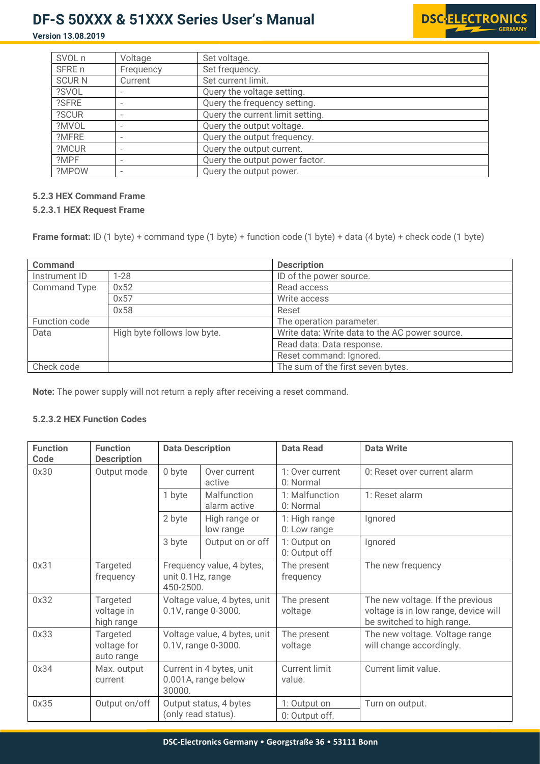**Version 13.08.2019**



| SVOL n       | Voltage                  | Set voltage.                     |
|--------------|--------------------------|----------------------------------|
| SFRE n       | Frequency                | Set frequency.                   |
| <b>SCURN</b> | Current                  | Set current limit.               |
| ?SVOL        |                          | Query the voltage setting.       |
| ?SFRE        |                          | Query the frequency setting.     |
| ?SCUR        | $\overline{\phantom{a}}$ | Query the current limit setting. |
| ?MVOL        |                          | Query the output voltage.        |
| ?MFRE        |                          | Query the output frequency.      |
| ?MCUR        | $\overline{\phantom{a}}$ | Query the output current.        |
| ?MPF         |                          | Query the output power factor.   |
| ?MPOW        |                          | Query the output power.          |

### **5.2.3 HEX Command Frame**

#### **5.2.3.1 HEX Request Frame**

**Frame format:** ID (1 byte) + command type (1 byte) + function code (1 byte) + data (4 byte) + check code (1 byte)

| <b>Command</b>      |                             | <b>Description</b>                             |
|---------------------|-----------------------------|------------------------------------------------|
| Instrument ID       | $1 - 28$                    | ID of the power source.                        |
| <b>Command Type</b> | 0x52                        | Read access                                    |
|                     | 0x57                        | Write access                                   |
|                     | 0x58                        | Reset                                          |
| Function code       |                             | The operation parameter.                       |
| Data                | High byte follows low byte. | Write data: Write data to the AC power source. |
|                     |                             | Read data: Data response.                      |
|                     |                             | Reset command: Ignored.                        |
| Check code          |                             | The sum of the first seven bytes.              |

**Note:** The power supply will not return a reply after receiving a reset command.

### **5.2.3.2 HEX Function Codes**

| <b>Function</b><br>Code | <b>Function</b><br><b>Description</b> | <b>Data Description</b>                                     |                                               | <b>Data Read</b>                                            | <b>Data Write</b>                                                                                      |
|-------------------------|---------------------------------------|-------------------------------------------------------------|-----------------------------------------------|-------------------------------------------------------------|--------------------------------------------------------------------------------------------------------|
| 0x30                    | Output mode                           | 0 byte<br>Over current<br>active                            |                                               | 1: Over current<br>0: Reset over current alarm<br>0: Normal |                                                                                                        |
|                         |                                       | 1 byte                                                      | Malfunction<br>alarm active                   | 1: Malfunction<br>0: Normal                                 | 1: Reset alarm                                                                                         |
|                         |                                       | 2 byte                                                      | High range or<br>low range                    | 1: High range<br>0: Low range                               | Ignored                                                                                                |
|                         |                                       | 3 byte                                                      | Output on or off                              | 1: Output on<br>0: Output off                               | Ignored                                                                                                |
| 0x31                    | Targeted<br>frequency                 | Frequency value, 4 bytes,<br>unit 0.1Hz, range<br>450-2500. |                                               | The present<br>frequency                                    | The new frequency                                                                                      |
| 0x32                    | Targeted<br>voltage in<br>high range  | Voltage value, 4 bytes, unit<br>0.1V, range 0-3000.         |                                               | The present<br>voltage                                      | The new voltage. If the previous<br>voltage is in low range, device will<br>be switched to high range. |
| 0x33                    | Targeted<br>voltage for<br>auto range | Voltage value, 4 bytes, unit<br>0.1V, range 0-3000.         |                                               | The present<br>voltage                                      | The new voltage. Voltage range<br>will change accordingly.                                             |
| 0x34                    | Max. output<br>current                | Current in 4 bytes, unit<br>0.001A, range below<br>30000.   |                                               | <b>Current limit</b><br>value.                              | Current limit value.                                                                                   |
| 0x35                    | Output on/off                         |                                                             | Output status, 4 bytes<br>(only read status). | 1: Output on<br>0: Output off.                              | Turn on output.                                                                                        |